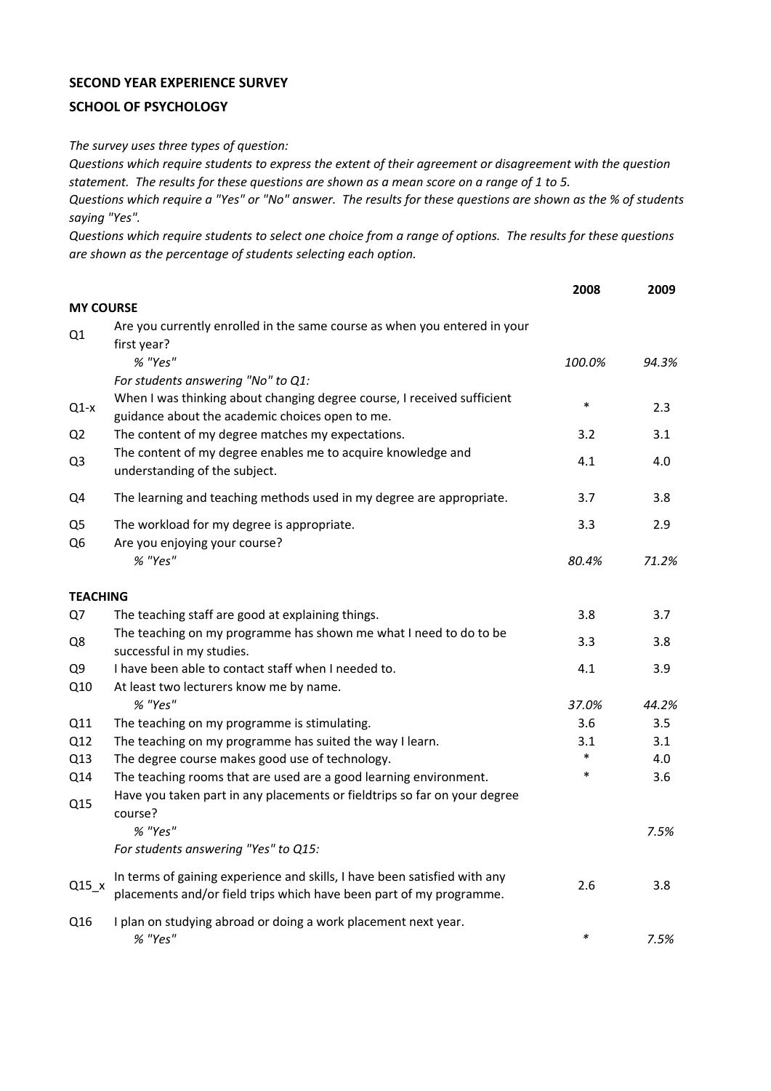## **SECOND YEAR EXPERIENCE SURVEY**

## **SCHOOL OF PSYCHOLOGY**

*The survey uses three types of question:*

*Questions which require students to express the extent of their agreement or disagreement with the question statement. The results for these questions are shown as a mean score on a range of 1 to 5.*

*Questions which require a "Yes" or "No" answer. The results for these questions are shown as the % of students saying "Yes".*

*Questions which require students to select one choice from a range of options. The results for these questions are shown as the percentage of students selecting each option.*

|                                  |                                                                                                                                                           | 2008   | 2009  |
|----------------------------------|-----------------------------------------------------------------------------------------------------------------------------------------------------------|--------|-------|
| <b>MY COURSE</b>                 |                                                                                                                                                           |        |       |
| Q1                               | Are you currently enrolled in the same course as when you entered in your<br>first year?                                                                  |        |       |
|                                  | % "Yes"                                                                                                                                                   | 100.0% | 94.3% |
|                                  | For students answering "No" to Q1:                                                                                                                        |        |       |
| $Q1-x$                           | When I was thinking about changing degree course, I received sufficient<br>guidance about the academic choices open to me.                                | $\ast$ | 2.3   |
| Q <sub>2</sub>                   | The content of my degree matches my expectations.                                                                                                         | 3.2    | 3.1   |
| Q <sub>3</sub>                   | The content of my degree enables me to acquire knowledge and<br>understanding of the subject.                                                             | 4.1    | 4.0   |
| Q4                               | The learning and teaching methods used in my degree are appropriate.                                                                                      | 3.7    | 3.8   |
| Q <sub>5</sub><br>Q <sub>6</sub> | The workload for my degree is appropriate.<br>Are you enjoying your course?                                                                               | 3.3    | 2.9   |
|                                  | % "Yes"                                                                                                                                                   | 80.4%  | 71.2% |
| <b>TEACHING</b>                  |                                                                                                                                                           |        |       |
| Q7                               | The teaching staff are good at explaining things.                                                                                                         | 3.8    | 3.7   |
| Q8                               | The teaching on my programme has shown me what I need to do to be<br>successful in my studies.                                                            | 3.3    | 3.8   |
| Q <sub>9</sub>                   | I have been able to contact staff when I needed to.                                                                                                       | 4.1    | 3.9   |
| Q10                              | At least two lecturers know me by name.                                                                                                                   |        |       |
|                                  | % "Yes"                                                                                                                                                   | 37.0%  | 44.2% |
| Q11                              | The teaching on my programme is stimulating.                                                                                                              | 3.6    | 3.5   |
| Q12                              | The teaching on my programme has suited the way I learn.                                                                                                  | 3.1    | 3.1   |
| Q13                              | The degree course makes good use of technology.                                                                                                           | $\ast$ | 4.0   |
| Q14<br>Q15                       | The teaching rooms that are used are a good learning environment.<br>Have you taken part in any placements or fieldtrips so far on your degree<br>course? | $\ast$ | 3.6   |
|                                  | % "Yes"                                                                                                                                                   |        | 7.5%  |
|                                  | For students answering "Yes" to Q15:                                                                                                                      |        |       |
| $Q15_x$                          | In terms of gaining experience and skills, I have been satisfied with any<br>placements and/or field trips which have been part of my programme.          | 2.6    | 3.8   |
| Q16                              | I plan on studying abroad or doing a work placement next year.<br>% "Yes"                                                                                 | $\ast$ | 7.5%  |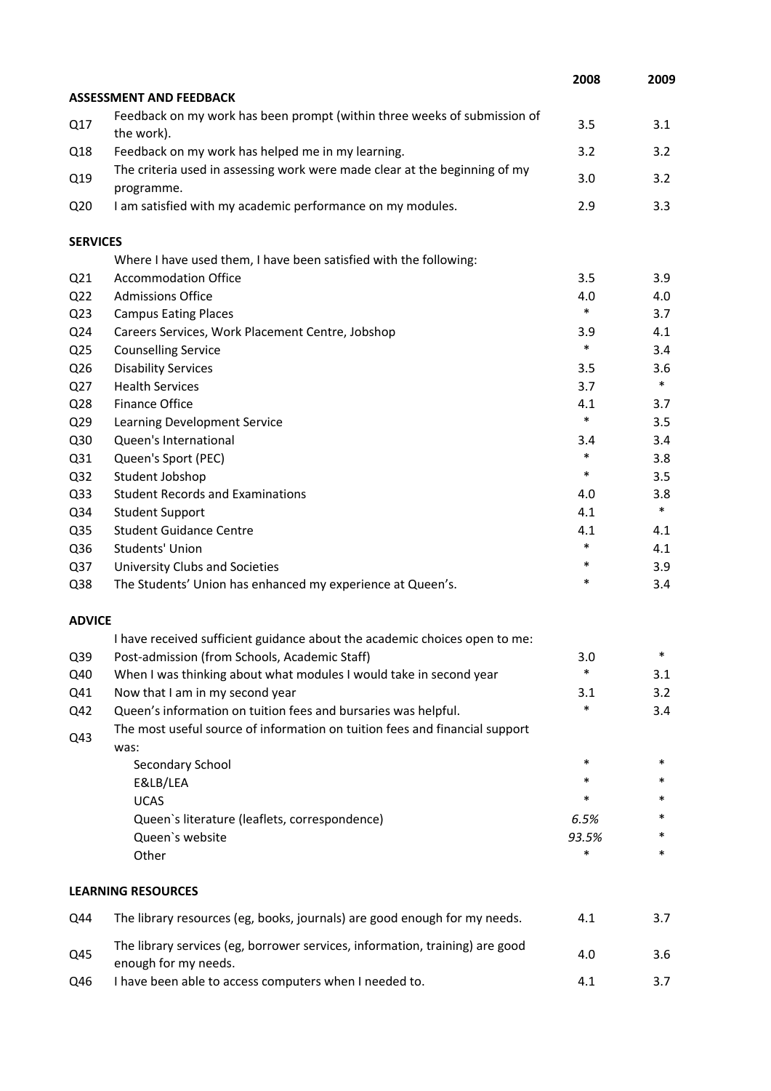|                 |                                                                                                      | 2008   | 2009   |
|-----------------|------------------------------------------------------------------------------------------------------|--------|--------|
|                 | <b>ASSESSMENT AND FEEDBACK</b>                                                                       |        |        |
| Q17             | Feedback on my work has been prompt (within three weeks of submission of<br>the work).               | 3.5    | 3.1    |
| Q18             | Feedback on my work has helped me in my learning.                                                    | 3.2    | 3.2    |
| Q19             | The criteria used in assessing work were made clear at the beginning of my<br>programme.             | 3.0    | 3.2    |
| Q <sub>20</sub> | I am satisfied with my academic performance on my modules.                                           | 2.9    | 3.3    |
| <b>SERVICES</b> |                                                                                                      |        |        |
|                 | Where I have used them, I have been satisfied with the following:                                    |        |        |
| Q <sub>21</sub> | <b>Accommodation Office</b>                                                                          | 3.5    | 3.9    |
| Q <sub>22</sub> | <b>Admissions Office</b>                                                                             | 4.0    | 4.0    |
| Q <sub>23</sub> | <b>Campus Eating Places</b>                                                                          | $\ast$ | 3.7    |
| Q24             | Careers Services, Work Placement Centre, Jobshop                                                     | 3.9    | 4.1    |
| Q <sub>25</sub> | <b>Counselling Service</b>                                                                           | $\ast$ | 3.4    |
| Q26             | <b>Disability Services</b>                                                                           | 3.5    | 3.6    |
| Q27             | <b>Health Services</b>                                                                               | 3.7    | $\ast$ |
| Q28             | Finance Office                                                                                       | 4.1    | 3.7    |
| Q <sub>29</sub> | Learning Development Service                                                                         | $\ast$ | 3.5    |
| Q30             | Queen's International                                                                                | 3.4    | 3.4    |
| Q31             | Queen's Sport (PEC)                                                                                  | $\ast$ | 3.8    |
| Q <sub>32</sub> | Student Jobshop                                                                                      | $\ast$ | 3.5    |
| Q <sub>33</sub> | <b>Student Records and Examinations</b>                                                              | 4.0    | 3.8    |
| Q34             | <b>Student Support</b>                                                                               | 4.1    | $\ast$ |
| Q <sub>35</sub> | <b>Student Guidance Centre</b>                                                                       | 4.1    | 4.1    |
| Q36             | Students' Union                                                                                      | $\ast$ | 4.1    |
| Q <sub>37</sub> | University Clubs and Societies                                                                       | $\ast$ | 3.9    |
| Q38             | The Students' Union has enhanced my experience at Queen's.                                           | $\ast$ | 3.4    |
| <b>ADVICE</b>   |                                                                                                      |        |        |
|                 | I have received sufficient guidance about the academic choices open to me:                           |        |        |
| Q39             | Post-admission (from Schools, Academic Staff)                                                        | 3.0    | *      |
| Q40             | When I was thinking about what modules I would take in second year                                   | $\ast$ | 3.1    |
| Q41             | Now that I am in my second year                                                                      | 3.1    | 3.2    |
| Q42             | Queen's information on tuition fees and bursaries was helpful.                                       | *      | 3.4    |
| Q43             | The most useful source of information on tuition fees and financial support<br>was:                  |        |        |
|                 | Secondary School                                                                                     | $\ast$ | $\ast$ |
|                 | E&LB/LEA                                                                                             | *      | *      |
|                 | <b>UCAS</b>                                                                                          | $\ast$ | *      |
|                 | Queen's literature (leaflets, correspondence)                                                        | 6.5%   | *      |
|                 | Queen's website                                                                                      | 93.5%  | *      |
|                 | Other                                                                                                | *      | $\ast$ |
|                 | <b>LEARNING RESOURCES</b>                                                                            |        |        |
| Q44             | The library resources (eg, books, journals) are good enough for my needs.                            | 4.1    | 3.7    |
| Q45             | The library services (eg, borrower services, information, training) are good<br>enough for my needs. | 4.0    | 3.6    |
| Q46             | I have been able to access computers when I needed to.                                               | 4.1    | 3.7    |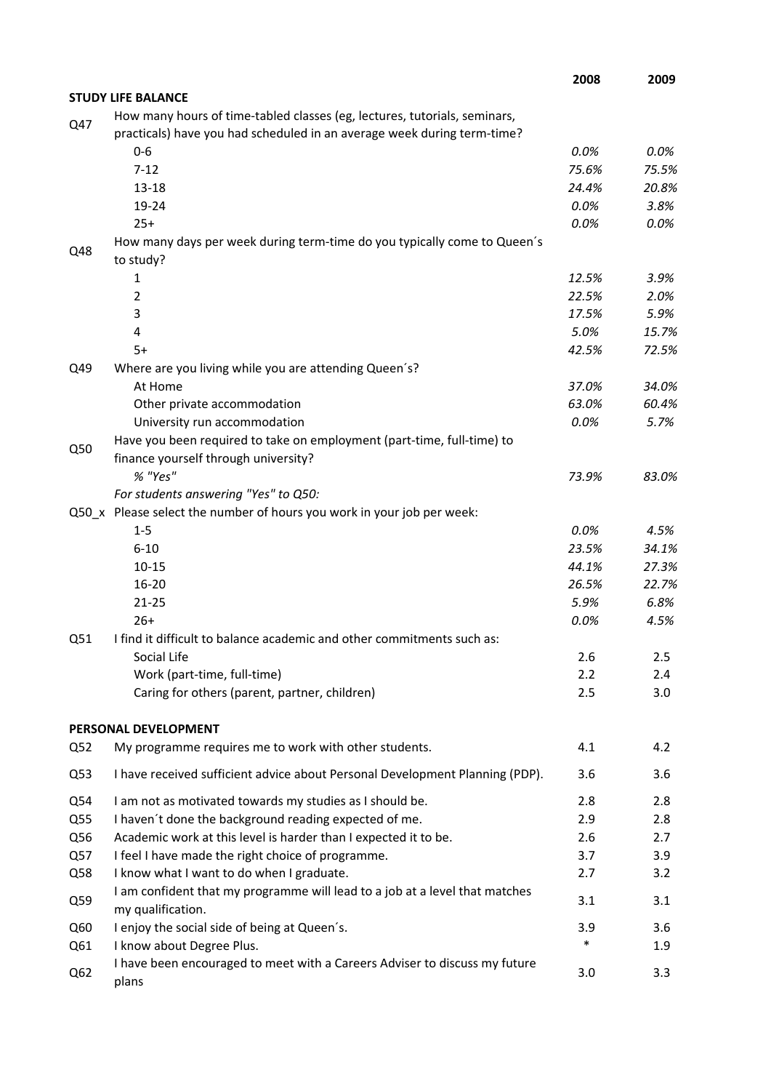|     |                                                                                                                                                      | 2008          | 2009          |
|-----|------------------------------------------------------------------------------------------------------------------------------------------------------|---------------|---------------|
|     | <b>STUDY LIFE BALANCE</b>                                                                                                                            |               |               |
| Q47 | How many hours of time-tabled classes (eg, lectures, tutorials, seminars,<br>practicals) have you had scheduled in an average week during term-time? |               |               |
|     | $0 - 6$                                                                                                                                              | 0.0%          | $0.0\%$       |
|     | $7 - 12$                                                                                                                                             | 75.6%         | 75.5%         |
|     | $13 - 18$                                                                                                                                            | 24.4%         | 20.8%         |
|     | 19-24                                                                                                                                                | 0.0%          | 3.8%          |
|     | $25+$                                                                                                                                                | 0.0%          | 0.0%          |
| Q48 | How many days per week during term-time do you typically come to Queen's<br>to study?                                                                |               |               |
|     | 1                                                                                                                                                    | 12.5%         | 3.9%          |
|     | $\overline{2}$                                                                                                                                       | 22.5%         | 2.0%          |
|     | 3                                                                                                                                                    | 17.5%         | 5.9%          |
|     | 4                                                                                                                                                    | 5.0%          | 15.7%         |
|     | $5+$                                                                                                                                                 | 42.5%         | 72.5%         |
| Q49 | Where are you living while you are attending Queen's?                                                                                                |               |               |
|     | At Home                                                                                                                                              | 37.0%         | 34.0%         |
|     | Other private accommodation                                                                                                                          | 63.0%         | 60.4%         |
|     | University run accommodation                                                                                                                         | 0.0%          | 5.7%          |
| Q50 | Have you been required to take on employment (part-time, full-time) to                                                                               |               |               |
|     | finance yourself through university?                                                                                                                 |               |               |
|     | % "Yes"                                                                                                                                              | 73.9%         | 83.0%         |
|     | For students answering "Yes" to Q50:                                                                                                                 |               |               |
|     | Q50_x Please select the number of hours you work in your job per week:                                                                               |               |               |
|     | $1 - 5$                                                                                                                                              | 0.0%          | 4.5%          |
|     | $6 - 10$                                                                                                                                             | 23.5%         | 34.1%         |
|     | $10 - 15$<br>$16 - 20$                                                                                                                               | 44.1%         | 27.3%         |
|     | $21 - 25$                                                                                                                                            | 26.5%<br>5.9% | 22.7%<br>6.8% |
|     | $26+$                                                                                                                                                | 0.0%          | 4.5%          |
| Q51 | I find it difficult to balance academic and other commitments such as:                                                                               |               |               |
|     | Social Life                                                                                                                                          | 2.6           | 2.5           |
|     | Work (part-time, full-time)                                                                                                                          | 2.2           | 2.4           |
|     | Caring for others (parent, partner, children)                                                                                                        | 2.5           | 3.0           |
|     | PERSONAL DEVELOPMENT                                                                                                                                 |               |               |
| Q52 | My programme requires me to work with other students.                                                                                                | 4.1           | 4.2           |
|     |                                                                                                                                                      |               |               |
| Q53 | I have received sufficient advice about Personal Development Planning (PDP).                                                                         | 3.6           | 3.6           |
| Q54 | I am not as motivated towards my studies as I should be.                                                                                             | 2.8           | 2.8           |
| Q55 | I haven't done the background reading expected of me.                                                                                                | 2.9           | 2.8           |
| Q56 | Academic work at this level is harder than I expected it to be.                                                                                      | 2.6           | 2.7           |
| Q57 | I feel I have made the right choice of programme.                                                                                                    | 3.7           | 3.9           |
| Q58 | I know what I want to do when I graduate.                                                                                                            | 2.7           | 3.2           |
| Q59 | I am confident that my programme will lead to a job at a level that matches<br>my qualification.                                                     | 3.1           | 3.1           |
| Q60 | I enjoy the social side of being at Queen's.                                                                                                         | 3.9           | 3.6           |
| Q61 | I know about Degree Plus.                                                                                                                            | $\ast$        | 1.9           |
| Q62 | I have been encouraged to meet with a Careers Adviser to discuss my future<br>plans                                                                  | 3.0           | 3.3           |